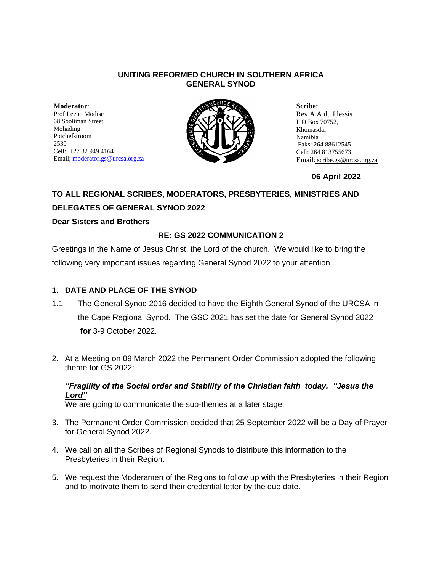#### **UNITING REFORMED CHURCH IN SOUTHERN AFRICA GENERAL SYNOD**

**Moderator**: Prof Leepo Modise 68 Sooliman Street Mohading Potchefstroom 2530 Cell: +27 82 949 4164 Email[; moderator.gs@urcsa.org.za](mailto:moderator.gs@urcsa.org.za)



**Scribe:**  Rev A A du Plessis P O Box 70752, Khomasdal Namibia Faks: 264 88612545 Cell: 264 813755673 Email: scribe.gs@urcsa.org.za

#### **06 April 2022**

# **TO ALL REGIONAL SCRIBES, MODERATORS, PRESBYTERIES, MINISTRIES AND DELEGATES OF GENERAL SYNOD 2022**

#### **Dear Sisters and Brothers**

#### **RE: GS 2022 COMMUNICATION 2**

Greetings in the Name of Jesus Christ, the Lord of the church. We would like to bring the following very important issues regarding General Synod 2022 to your attention.

### **1. DATE AND PLACE OF THE SYNOD**

- 1.1 The General Synod 2016 decided to have the Eighth General Synod of the URCSA in the Cape Regional Synod. The GSC 2021 has set the date for General Synod 2022 **for** 3-9 October 2022.
- 2. At a Meeting on 09 March 2022 the Permanent Order Commission adopted the following theme for GS 2022:

## *"Fragility of the Social order and Stability of the Christian faith today. "Jesus the Lord"*

We are going to communicate the sub-themes at a later stage.

- 3. The Permanent Order Commission decided that 25 September 2022 will be a Day of Prayer for General Synod 2022.
- 4. We call on all the Scribes of Regional Synods to distribute this information to the Presbyteries in their Region.
- 5. We request the Moderamen of the Regions to follow up with the Presbyteries in their Region and to motivate them to send their credential letter by the due date.